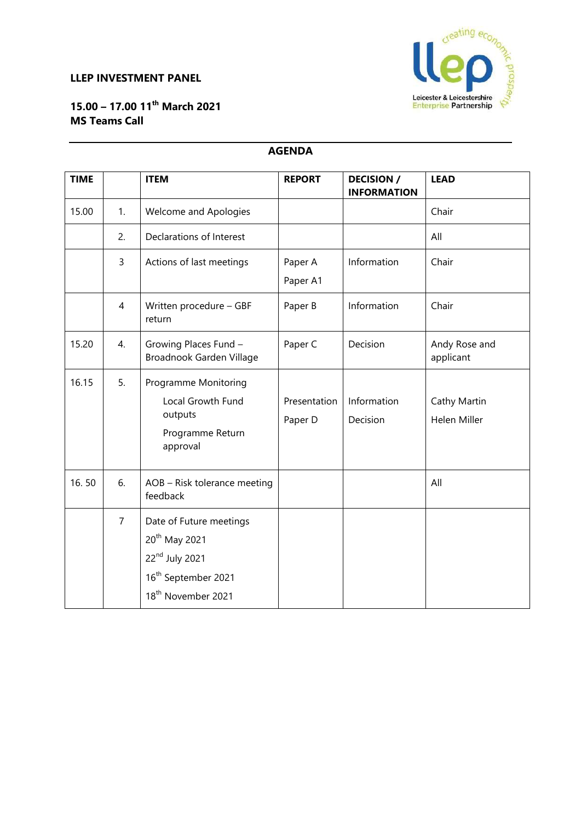### **LLEP INVESTMENT PANEL**



# **15.00 – 17.00 11th March 2021 MS Teams Call**

### **AGENDA**

| <b>TIME</b> |                | <b>ITEM</b>                                                                                                                                             | <b>REPORT</b>           | <b>DECISION /</b><br><b>INFORMATION</b> | <b>LEAD</b>                  |
|-------------|----------------|---------------------------------------------------------------------------------------------------------------------------------------------------------|-------------------------|-----------------------------------------|------------------------------|
| 15.00       | 1.             | <b>Welcome and Apologies</b>                                                                                                                            |                         |                                         | Chair                        |
|             | 2.             | Declarations of Interest                                                                                                                                |                         |                                         | All                          |
|             | 3              | Actions of last meetings                                                                                                                                | Paper A<br>Paper A1     | Information                             | Chair                        |
|             | $\overline{4}$ | Written procedure - GBF<br>return                                                                                                                       | Paper B                 | Information                             | Chair                        |
| 15.20       | 4.             | Growing Places Fund -<br>Broadnook Garden Village                                                                                                       | Paper C                 | Decision                                | Andy Rose and<br>applicant   |
| 16.15       | 5.             | <b>Programme Monitoring</b><br>Local Growth Fund<br>outputs<br>Programme Return<br>approval                                                             | Presentation<br>Paper D | Information<br>Decision                 | Cathy Martin<br>Helen Miller |
| 16.50       | 6.             | AOB - Risk tolerance meeting<br>feedback                                                                                                                |                         |                                         | All                          |
|             | $\overline{7}$ | Date of Future meetings<br>20 <sup>th</sup> May 2021<br>22 <sup>nd</sup> July 2021<br>16 <sup>th</sup> September 2021<br>18 <sup>th</sup> November 2021 |                         |                                         |                              |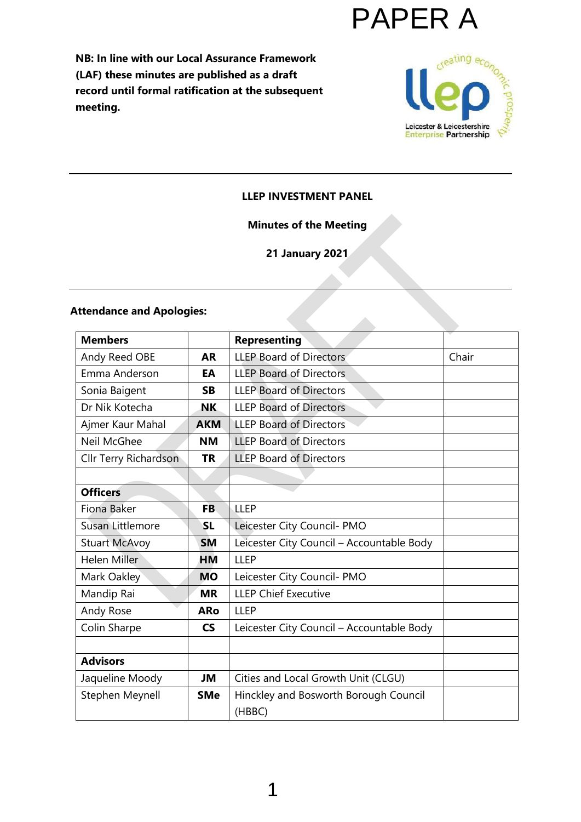

**NB: In line with our Local Assurance Framework (LAF) these minutes are published as a draft record until formal ratification at the subsequent meeting.**



#### **LLEP INVESTMENT PANEL**

#### **Minutes of the Meeting**

**21 January 2021**

 $\mathcal{L}_{\mathcal{A}}$ 

# **Attendance and Apologies:**

| <b>Members</b>        |            | <b>Representing</b>                       |       |
|-----------------------|------------|-------------------------------------------|-------|
| Andy Reed OBE         | <b>AR</b>  | <b>LLEP Board of Directors</b>            | Chair |
| Emma Anderson         | EA         | <b>LLEP Board of Directors</b>            |       |
| Sonia Baigent         | <b>SB</b>  | <b>LLEP Board of Directors</b>            |       |
| Dr Nik Kotecha        | NK         | <b>LLEP Board of Directors</b>            |       |
| Ajmer Kaur Mahal      | <b>AKM</b> | <b>LLEP Board of Directors</b>            |       |
| Neil McGhee           | <b>NM</b>  | <b>LLEP Board of Directors</b>            |       |
| Cllr Terry Richardson | <b>TR</b>  | <b>LLEP Board of Directors</b>            |       |
|                       |            |                                           |       |
| <b>Officers</b>       |            |                                           |       |
| Fiona Baker           | <b>FB</b>  | <b>LLEP</b>                               |       |
| Susan Littlemore      | <b>SL</b>  | Leicester City Council- PMO               |       |
| <b>Stuart McAvoy</b>  | <b>SM</b>  | Leicester City Council - Accountable Body |       |
| <b>Helen Miller</b>   | <b>HM</b>  | <b>LLEP</b>                               |       |
| Mark Oakley           | <b>MO</b>  | Leicester City Council- PMO               |       |
| Mandip Rai            | <b>MR</b>  | <b>LLEP Chief Executive</b>               |       |
| Andy Rose             | <b>ARo</b> | <b>LLEP</b>                               |       |
| Colin Sharpe          | <b>CS</b>  | Leicester City Council - Accountable Body |       |
|                       |            |                                           |       |
| <b>Advisors</b>       |            |                                           |       |
| Jaqueline Moody       | JM         | Cities and Local Growth Unit (CLGU)       |       |
| Stephen Meynell       | <b>SMe</b> | Hinckley and Bosworth Borough Council     |       |
|                       |            | (HBBC)                                    |       |

1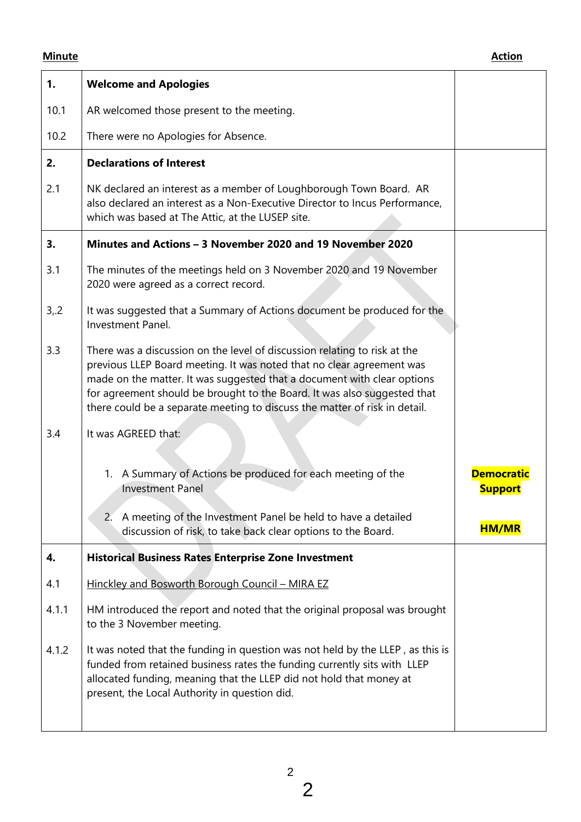| 1.    | <b>Welcome and Apologies</b>                                                                                                                                                                                                                                                                                                                                                            |                                     |
|-------|-----------------------------------------------------------------------------------------------------------------------------------------------------------------------------------------------------------------------------------------------------------------------------------------------------------------------------------------------------------------------------------------|-------------------------------------|
| 10.1  | AR welcomed those present to the meeting.                                                                                                                                                                                                                                                                                                                                               |                                     |
| 10.2  | There were no Apologies for Absence.                                                                                                                                                                                                                                                                                                                                                    |                                     |
| 2.    | <b>Declarations of Interest</b>                                                                                                                                                                                                                                                                                                                                                         |                                     |
| 2.1   | NK declared an interest as a member of Loughborough Town Board. AR<br>also declared an interest as a Non-Executive Director to Incus Performance,<br>which was based at The Attic, at the LUSEP site.                                                                                                                                                                                   |                                     |
| 3.    | Minutes and Actions – 3 November 2020 and 19 November 2020                                                                                                                                                                                                                                                                                                                              |                                     |
| 3.1   | The minutes of the meetings held on 3 November 2020 and 19 November<br>2020 were agreed as a correct record.                                                                                                                                                                                                                                                                            |                                     |
| 3,2   | It was suggested that a Summary of Actions document be produced for the<br><b>Investment Panel.</b>                                                                                                                                                                                                                                                                                     |                                     |
| 3.3   | There was a discussion on the level of discussion relating to risk at the<br>previous LLEP Board meeting. It was noted that no clear agreement was<br>made on the matter. It was suggested that a document with clear options<br>for agreement should be brought to the Board. It was also suggested that<br>there could be a separate meeting to discuss the matter of risk in detail. |                                     |
| 3.4   | It was AGREED that:                                                                                                                                                                                                                                                                                                                                                                     |                                     |
|       | 1. A Summary of Actions be produced for each meeting of the<br><b>Investment Panel</b>                                                                                                                                                                                                                                                                                                  | <b>Democratic</b><br><b>Support</b> |
|       | 2. A meeting of the Investment Panel be held to have a detailed<br>discussion of risk, to take back clear options to the Board.                                                                                                                                                                                                                                                         | <b>HM/MR</b>                        |
| 4.    | <b>Historical Business Rates Enterprise Zone Investment</b>                                                                                                                                                                                                                                                                                                                             |                                     |
| 4.1   | Hinckley and Bosworth Borough Council - MIRA EZ                                                                                                                                                                                                                                                                                                                                         |                                     |
| 4.1.1 | HM introduced the report and noted that the original proposal was brought<br>to the 3 November meeting.                                                                                                                                                                                                                                                                                 |                                     |
| 4.1.2 | It was noted that the funding in question was not held by the LLEP, as this is<br>funded from retained business rates the funding currently sits with LLEP<br>allocated funding, meaning that the LLEP did not hold that money at<br>present, the Local Authority in question did.                                                                                                      |                                     |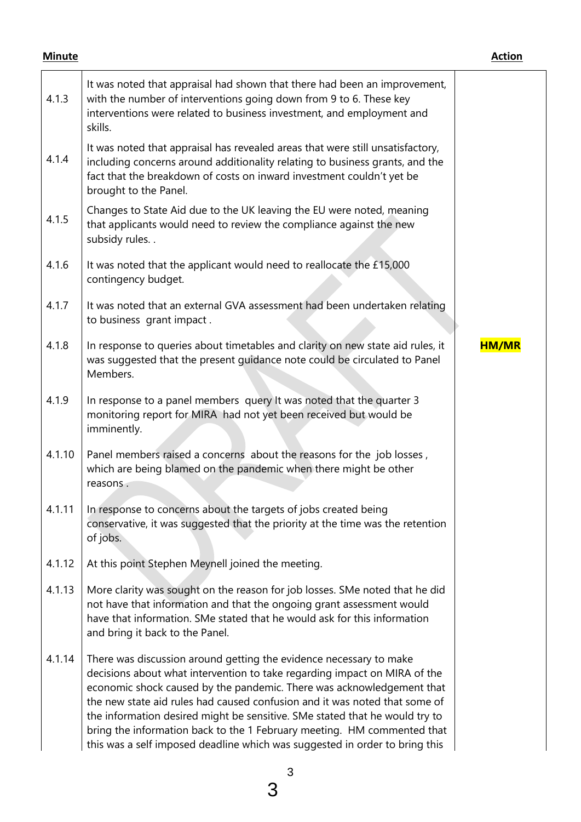| 4.1.3  | It was noted that appraisal had shown that there had been an improvement,<br>with the number of interventions going down from 9 to 6. These key<br>interventions were related to business investment, and employment and<br>skills.                                                                                                                                                                                                                                                                                                             |              |
|--------|-------------------------------------------------------------------------------------------------------------------------------------------------------------------------------------------------------------------------------------------------------------------------------------------------------------------------------------------------------------------------------------------------------------------------------------------------------------------------------------------------------------------------------------------------|--------------|
| 4.1.4  | It was noted that appraisal has revealed areas that were still unsatisfactory,<br>including concerns around additionality relating to business grants, and the<br>fact that the breakdown of costs on inward investment couldn't yet be<br>brought to the Panel.                                                                                                                                                                                                                                                                                |              |
| 4.1.5  | Changes to State Aid due to the UK leaving the EU were noted, meaning<br>that applicants would need to review the compliance against the new<br>subsidy rules                                                                                                                                                                                                                                                                                                                                                                                   |              |
| 4.1.6  | It was noted that the applicant would need to reallocate the £15,000<br>contingency budget.                                                                                                                                                                                                                                                                                                                                                                                                                                                     |              |
| 4.1.7  | It was noted that an external GVA assessment had been undertaken relating<br>to business grant impact.                                                                                                                                                                                                                                                                                                                                                                                                                                          |              |
| 4.1.8  | In response to queries about timetables and clarity on new state aid rules, it<br>was suggested that the present guidance note could be circulated to Panel<br>Members.                                                                                                                                                                                                                                                                                                                                                                         | <b>HM/MR</b> |
| 4.1.9  | In response to a panel members query It was noted that the quarter 3<br>monitoring report for MIRA had not yet been received but would be<br>imminently.                                                                                                                                                                                                                                                                                                                                                                                        |              |
| 4.1.10 | Panel members raised a concerns about the reasons for the job losses,<br>which are being blamed on the pandemic when there might be other<br>reasons.                                                                                                                                                                                                                                                                                                                                                                                           |              |
| 4.1.11 | In response to concerns about the targets of jobs created being<br>conservative, it was suggested that the priority at the time was the retention<br>of jobs.                                                                                                                                                                                                                                                                                                                                                                                   |              |
| 4.1.12 | At this point Stephen Meynell joined the meeting.                                                                                                                                                                                                                                                                                                                                                                                                                                                                                               |              |
| 4.1.13 | More clarity was sought on the reason for job losses. SMe noted that he did<br>not have that information and that the ongoing grant assessment would<br>have that information. SMe stated that he would ask for this information<br>and bring it back to the Panel.                                                                                                                                                                                                                                                                             |              |
| 4.1.14 | There was discussion around getting the evidence necessary to make<br>decisions about what intervention to take regarding impact on MIRA of the<br>economic shock caused by the pandemic. There was acknowledgement that<br>the new state aid rules had caused confusion and it was noted that some of<br>the information desired might be sensitive. SMe stated that he would try to<br>bring the information back to the 1 February meeting. HM commented that<br>this was a self imposed deadline which was suggested in order to bring this |              |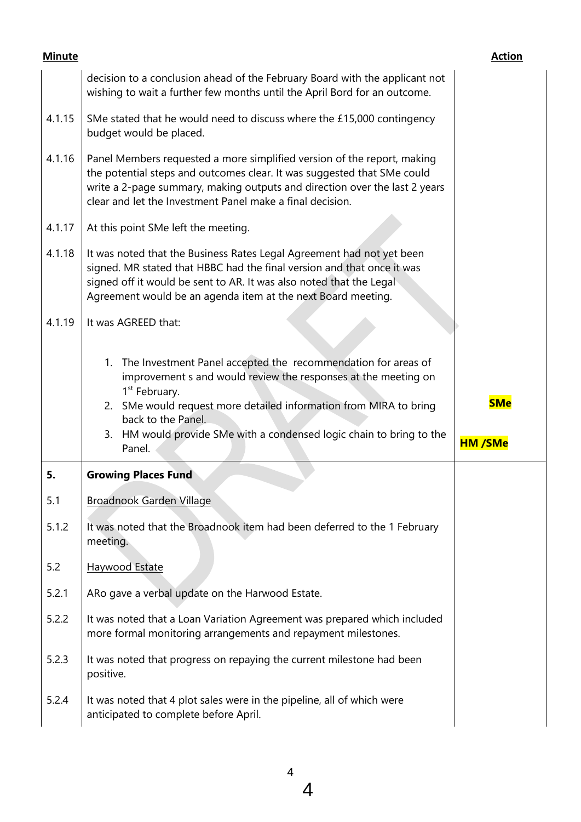|        | decision to a conclusion ahead of the February Board with the applicant not<br>wishing to wait a further few months until the April Bord for an outcome.                                                                                                                                                                           |                |
|--------|------------------------------------------------------------------------------------------------------------------------------------------------------------------------------------------------------------------------------------------------------------------------------------------------------------------------------------|----------------|
| 4.1.15 | SMe stated that he would need to discuss where the £15,000 contingency<br>budget would be placed.                                                                                                                                                                                                                                  |                |
| 4.1.16 | Panel Members requested a more simplified version of the report, making<br>the potential steps and outcomes clear. It was suggested that SMe could<br>write a 2-page summary, making outputs and direction over the last 2 years<br>clear and let the Investment Panel make a final decision.                                      |                |
| 4.1.17 | At this point SMe left the meeting.                                                                                                                                                                                                                                                                                                |                |
| 4.1.18 | It was noted that the Business Rates Legal Agreement had not yet been<br>signed. MR stated that HBBC had the final version and that once it was<br>signed off it would be sent to AR. It was also noted that the Legal<br>Agreement would be an agenda item at the next Board meeting.                                             |                |
| 4.1.19 | It was AGREED that:                                                                                                                                                                                                                                                                                                                |                |
|        | 1. The Investment Panel accepted the recommendation for areas of<br>improvement s and would review the responses at the meeting on<br>1 <sup>st</sup> February.<br>2. SMe would request more detailed information from MIRA to bring<br>back to the Panel.<br>3. HM would provide SMe with a condensed logic chain to bring to the | <b>SMe</b>     |
|        | Panel.                                                                                                                                                                                                                                                                                                                             | <b>HM /SMe</b> |
| 5.     | <b>Growing Places Fund</b>                                                                                                                                                                                                                                                                                                         |                |
| 5.1    | Broadnook Garden Village                                                                                                                                                                                                                                                                                                           |                |
| 5.1.2  | It was noted that the Broadnook item had been deferred to the 1 February<br>meeting.                                                                                                                                                                                                                                               |                |
| 5.2    | <b>Haywood Estate</b>                                                                                                                                                                                                                                                                                                              |                |
| 5.2.1  | ARo gave a verbal update on the Harwood Estate.                                                                                                                                                                                                                                                                                    |                |
| 5.2.2  | It was noted that a Loan Variation Agreement was prepared which included<br>more formal monitoring arrangements and repayment milestones.                                                                                                                                                                                          |                |
| 5.2.3  | It was noted that progress on repaying the current milestone had been<br>positive.                                                                                                                                                                                                                                                 |                |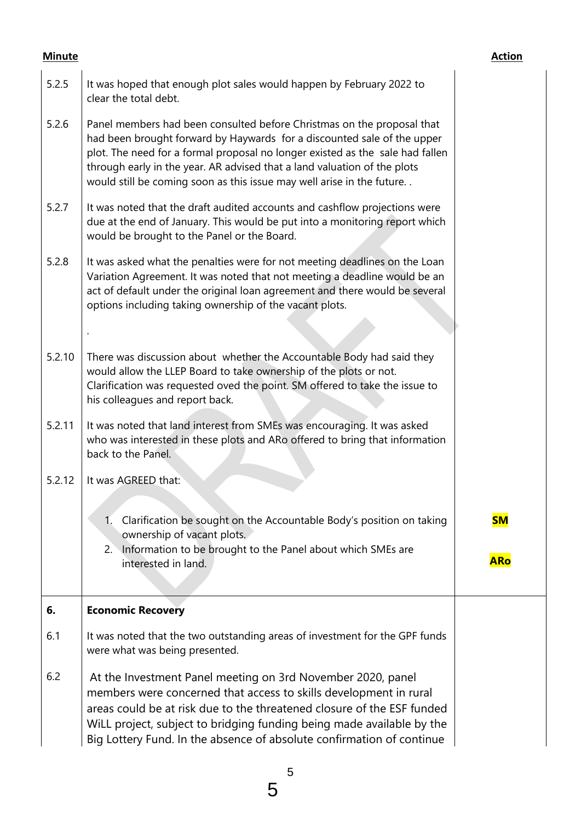| 5.2.5  | It was hoped that enough plot sales would happen by February 2022 to<br>clear the total debt.                                                                                                                                                                                                                                                                                           |            |
|--------|-----------------------------------------------------------------------------------------------------------------------------------------------------------------------------------------------------------------------------------------------------------------------------------------------------------------------------------------------------------------------------------------|------------|
| 5.2.6  | Panel members had been consulted before Christmas on the proposal that<br>had been brought forward by Haywards for a discounted sale of the upper<br>plot. The need for a formal proposal no longer existed as the sale had fallen<br>through early in the year. AR advised that a land valuation of the plots<br>would still be coming soon as this issue may well arise in the future |            |
| 5.2.7  | It was noted that the draft audited accounts and cashflow projections were<br>due at the end of January. This would be put into a monitoring report which<br>would be brought to the Panel or the Board.                                                                                                                                                                                |            |
| 5.2.8  | It was asked what the penalties were for not meeting deadlines on the Loan<br>Variation Agreement. It was noted that not meeting a deadline would be an<br>act of default under the original loan agreement and there would be several<br>options including taking ownership of the vacant plots.                                                                                       |            |
|        |                                                                                                                                                                                                                                                                                                                                                                                         |            |
| 5.2.10 | There was discussion about whether the Accountable Body had said they<br>would allow the LLEP Board to take ownership of the plots or not.<br>Clarification was requested oved the point. SM offered to take the issue to<br>his colleagues and report back.                                                                                                                            |            |
| 5.2.11 | It was noted that land interest from SMEs was encouraging. It was asked<br>who was interested in these plots and ARo offered to bring that information<br>back to the Panel.                                                                                                                                                                                                            |            |
| 5.2.12 | It was AGREED that:                                                                                                                                                                                                                                                                                                                                                                     |            |
|        | $\mathbf{1}$ .<br>Clarification be sought on the Accountable Body's position on taking<br>ownership of vacant plots.                                                                                                                                                                                                                                                                    | <b>SM</b>  |
|        | Information to be brought to the Panel about which SMEs are<br>2.1<br>interested in land.                                                                                                                                                                                                                                                                                               | <b>ARo</b> |
| 6.     | <b>Economic Recovery</b>                                                                                                                                                                                                                                                                                                                                                                |            |
| 6.1    | It was noted that the two outstanding areas of investment for the GPF funds<br>were what was being presented.                                                                                                                                                                                                                                                                           |            |
| 6.2    | At the Investment Panel meeting on 3rd November 2020, panel<br>members were concerned that access to skills development in rural<br>areas could be at risk due to the threatened closure of the ESF funded<br>WiLL project, subject to bridging funding being made available by the<br>Big Lottery Fund. In the absence of absolute confirmation of continue                            |            |

5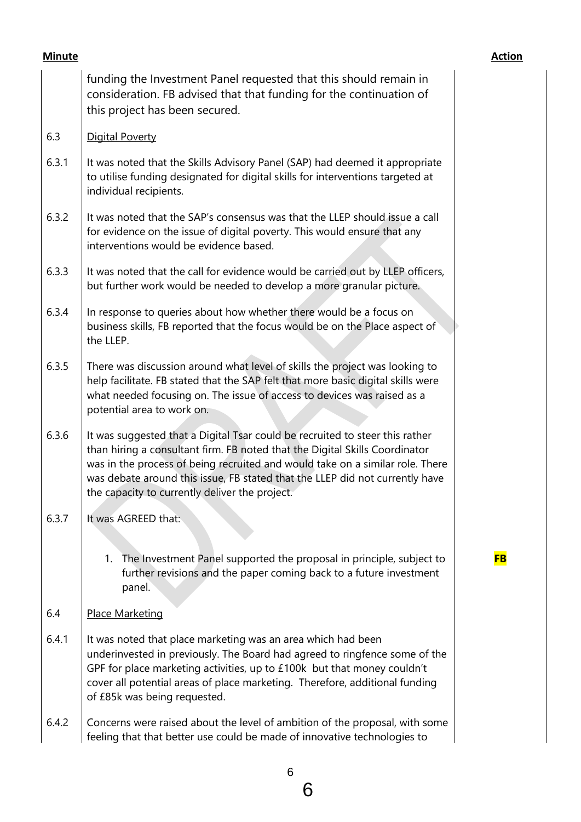| <b>Minute</b> |                                                                                                                                                                                                                                                                                                                                                                                | <b>Action</b> |
|---------------|--------------------------------------------------------------------------------------------------------------------------------------------------------------------------------------------------------------------------------------------------------------------------------------------------------------------------------------------------------------------------------|---------------|
|               | funding the Investment Panel requested that this should remain in<br>consideration. FB advised that that funding for the continuation of<br>this project has been secured.                                                                                                                                                                                                     |               |
| 6.3           | <b>Digital Poverty</b>                                                                                                                                                                                                                                                                                                                                                         |               |
| 6.3.1         | It was noted that the Skills Advisory Panel (SAP) had deemed it appropriate<br>to utilise funding designated for digital skills for interventions targeted at<br>individual recipients.                                                                                                                                                                                        |               |
| 6.3.2         | It was noted that the SAP's consensus was that the LLEP should issue a call<br>for evidence on the issue of digital poverty. This would ensure that any<br>interventions would be evidence based.                                                                                                                                                                              |               |
| 6.3.3         | It was noted that the call for evidence would be carried out by LLEP officers,<br>but further work would be needed to develop a more granular picture.                                                                                                                                                                                                                         |               |
| 6.3.4         | In response to queries about how whether there would be a focus on<br>business skills, FB reported that the focus would be on the Place aspect of<br>the LLEP.                                                                                                                                                                                                                 |               |
| 6.3.5         | There was discussion around what level of skills the project was looking to<br>help facilitate. FB stated that the SAP felt that more basic digital skills were<br>what needed focusing on. The issue of access to devices was raised as a<br>potential area to work on.                                                                                                       |               |
| 6.3.6         | It was suggested that a Digital Tsar could be recruited to steer this rather<br>than hiring a consultant firm. FB noted that the Digital Skills Coordinator<br>was in the process of being recruited and would take on a similar role. There<br>was debate around this issue, FB stated that the LLEP did not currently have<br>the capacity to currently deliver the project. |               |
| 6.3.7         | It was AGREED that:                                                                                                                                                                                                                                                                                                                                                            |               |
|               | The Investment Panel supported the proposal in principle, subject to<br>1.<br>further revisions and the paper coming back to a future investment<br>panel.                                                                                                                                                                                                                     | <b>FB</b>     |
| 6.4           | <b>Place Marketing</b>                                                                                                                                                                                                                                                                                                                                                         |               |
| 6.4.1         | It was noted that place marketing was an area which had been<br>underinvested in previously. The Board had agreed to ringfence some of the<br>GPF for place marketing activities, up to £100k but that money couldn't<br>cover all potential areas of place marketing. Therefore, additional funding<br>of £85k was being requested.                                           |               |
| 6.4.2         | Concerns were raised about the level of ambition of the proposal, with some<br>feeling that that better use could be made of innovative technologies to                                                                                                                                                                                                                        |               |

6

6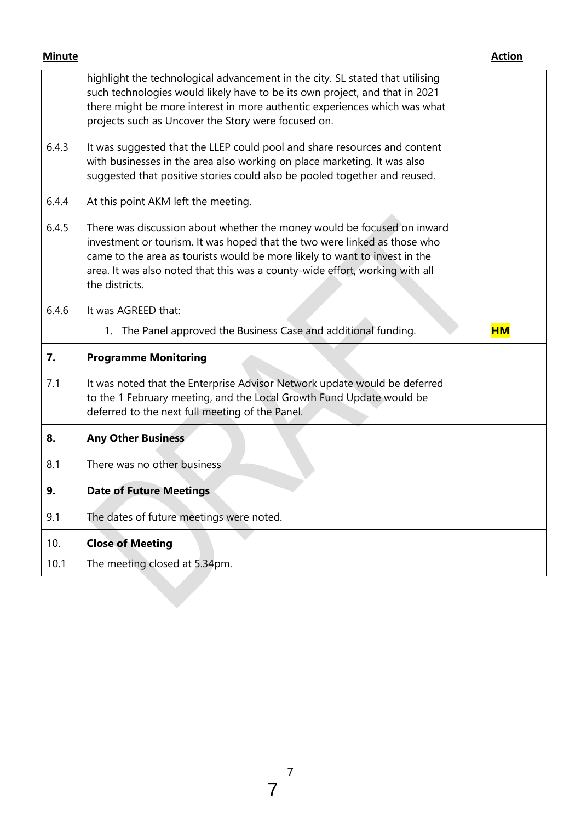| <b>Minute</b> |                                                                                                                                                                                                                                                                                                                                      | <b>Action</b> |
|---------------|--------------------------------------------------------------------------------------------------------------------------------------------------------------------------------------------------------------------------------------------------------------------------------------------------------------------------------------|---------------|
|               | highlight the technological advancement in the city. SL stated that utilising<br>such technologies would likely have to be its own project, and that in 2021<br>there might be more interest in more authentic experiences which was what<br>projects such as Uncover the Story were focused on.                                     |               |
| 6.4.3         | It was suggested that the LLEP could pool and share resources and content<br>with businesses in the area also working on place marketing. It was also<br>suggested that positive stories could also be pooled together and reused.                                                                                                   |               |
| 6.4.4         | At this point AKM left the meeting.                                                                                                                                                                                                                                                                                                  |               |
| 6.4.5         | There was discussion about whether the money would be focused on inward<br>investment or tourism. It was hoped that the two were linked as those who<br>came to the area as tourists would be more likely to want to invest in the<br>area. It was also noted that this was a county-wide effort, working with all<br>the districts. |               |
| 6.4.6         | It was AGREED that:                                                                                                                                                                                                                                                                                                                  |               |
|               | 1. The Panel approved the Business Case and additional funding.                                                                                                                                                                                                                                                                      | <b>HM</b>     |
| 7.            | <b>Programme Monitoring</b>                                                                                                                                                                                                                                                                                                          |               |
| 7.1           | It was noted that the Enterprise Advisor Network update would be deferred<br>to the 1 February meeting, and the Local Growth Fund Update would be<br>deferred to the next full meeting of the Panel.                                                                                                                                 |               |
| 8.            | <b>Any Other Business</b>                                                                                                                                                                                                                                                                                                            |               |
| 8.1           | There was no other business                                                                                                                                                                                                                                                                                                          |               |
| 9.            | <b>Date of Future Meetings</b>                                                                                                                                                                                                                                                                                                       |               |
| 9.1           | The dates of future meetings were noted.                                                                                                                                                                                                                                                                                             |               |
| 10.           | <b>Close of Meeting</b>                                                                                                                                                                                                                                                                                                              |               |
| 10.1          | The meeting closed at 5.34pm.                                                                                                                                                                                                                                                                                                        |               |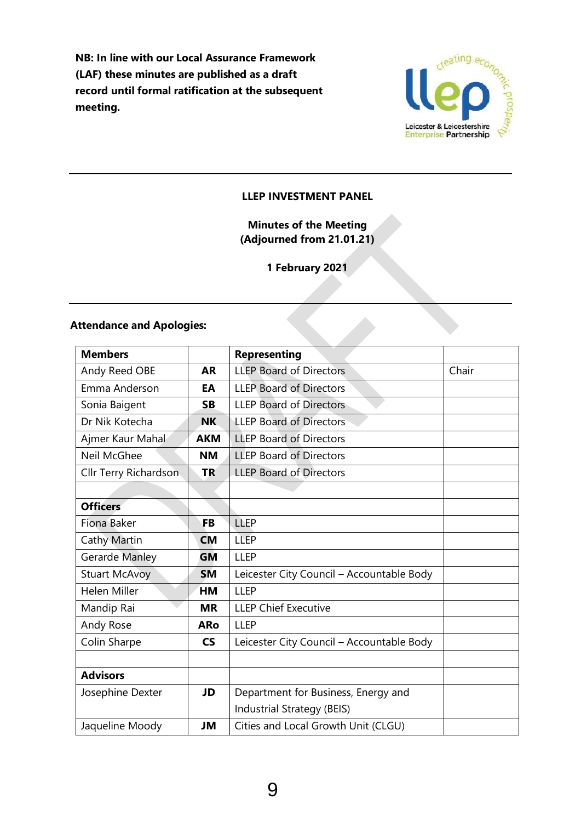**NB: In line with our Local Assurance Framework (LAF) these minutes are published as a draft record until formal ratification at the subsequent meeting.**



#### **LLEP INVESTMENT PANEL**

# **Minutes of the Meeting (Adjourned from 21.01.21)**

**1 February 2021**

## **Attendance and Apologies:**

| <b>Members</b>        |                          | <b>Representing</b>                       |       |
|-----------------------|--------------------------|-------------------------------------------|-------|
| Andy Reed OBE         | <b>AR</b>                | <b>LLEP Board of Directors</b>            | Chair |
| Emma Anderson         | EA                       | <b>LLEP Board of Directors</b>            |       |
| Sonia Baigent         | <b>SB</b>                | <b>LLEP Board of Directors</b>            |       |
| Dr Nik Kotecha        | <b>NK</b>                | <b>LLEP Board of Directors</b>            |       |
| Ajmer Kaur Mahal      | <b>AKM</b>               | <b>LLEP Board of Directors</b>            |       |
| Neil McGhee           | <b>NM</b>                | <b>LLEP Board of Directors</b>            |       |
| Cllr Terry Richardson | <b>TR</b>                | <b>LLEP Board of Directors</b>            |       |
|                       |                          |                                           |       |
| <b>Officers</b>       |                          |                                           |       |
| Fiona Baker           | <b>FB</b>                | LLEP                                      |       |
| <b>Cathy Martin</b>   | <b>CM</b>                | <b>LLEP</b>                               |       |
| Gerarde Manley        | GM                       | <b>LLEP</b>                               |       |
| <b>Stuart McAvoy</b>  | <b>SM</b>                | Leicester City Council - Accountable Body |       |
| <b>Helen Miller</b>   | HМ                       | <b>LLEP</b>                               |       |
| Mandip Rai            | <b>MR</b>                | <b>LLEP Chief Executive</b>               |       |
| Andy Rose             | <b>ARo</b>               | <b>LLEP</b>                               |       |
| Colin Sharpe          | $\mathsf{CS}\phantom{0}$ | Leicester City Council - Accountable Body |       |
|                       |                          |                                           |       |
| <b>Advisors</b>       |                          |                                           |       |
| Josephine Dexter      | JD                       | Department for Business, Energy and       |       |
|                       |                          | Industrial Strategy (BEIS)                |       |
| Jaqueline Moody       | JM                       | Cities and Local Growth Unit (CLGU)       |       |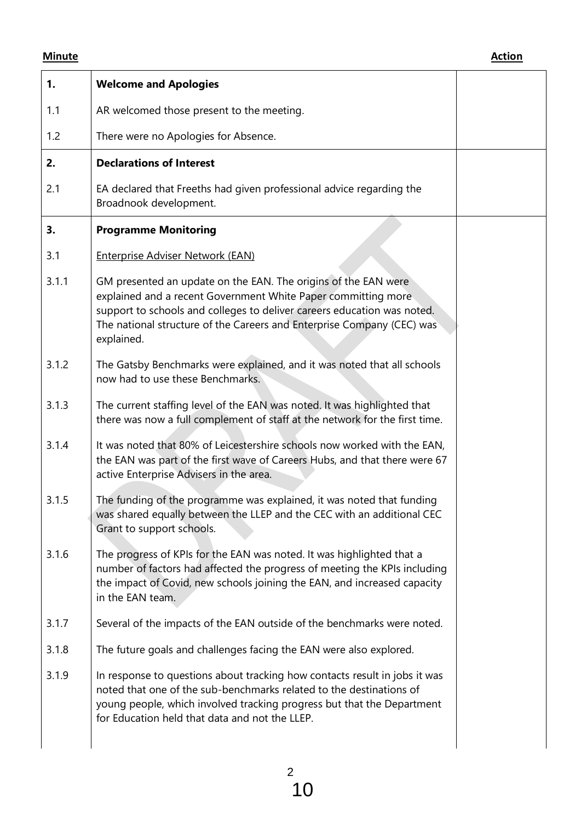| 1.    | <b>Welcome and Apologies</b>                                                                                                                                                                                                                                                                       |  |
|-------|----------------------------------------------------------------------------------------------------------------------------------------------------------------------------------------------------------------------------------------------------------------------------------------------------|--|
| 1.1   | AR welcomed those present to the meeting.                                                                                                                                                                                                                                                          |  |
| 1.2   | There were no Apologies for Absence.                                                                                                                                                                                                                                                               |  |
| 2.    | <b>Declarations of Interest</b>                                                                                                                                                                                                                                                                    |  |
| 2.1   | EA declared that Freeths had given professional advice regarding the<br>Broadnook development.                                                                                                                                                                                                     |  |
| 3.    | <b>Programme Monitoring</b>                                                                                                                                                                                                                                                                        |  |
| 3.1   | <b>Enterprise Adviser Network (EAN)</b>                                                                                                                                                                                                                                                            |  |
| 3.1.1 | GM presented an update on the EAN. The origins of the EAN were<br>explained and a recent Government White Paper committing more<br>support to schools and colleges to deliver careers education was noted.<br>The national structure of the Careers and Enterprise Company (CEC) was<br>explained. |  |
| 3.1.2 | The Gatsby Benchmarks were explained, and it was noted that all schools<br>now had to use these Benchmarks.                                                                                                                                                                                        |  |
| 3.1.3 | The current staffing level of the EAN was noted. It was highlighted that<br>there was now a full complement of staff at the network for the first time.                                                                                                                                            |  |
| 3.1.4 | It was noted that 80% of Leicestershire schools now worked with the EAN,<br>the EAN was part of the first wave of Careers Hubs, and that there were 67<br>active Enterprise Advisers in the area.                                                                                                  |  |
| 3.1.5 | The funding of the programme was explained, it was noted that funding<br>was shared equally between the LLEP and the CEC with an additional CEC<br>Grant to support schools.                                                                                                                       |  |
| 3.1.6 | The progress of KPIs for the EAN was noted. It was highlighted that a<br>number of factors had affected the progress of meeting the KPIs including<br>the impact of Covid, new schools joining the EAN, and increased capacity<br>in the EAN team.                                                 |  |
| 3.1.7 | Several of the impacts of the EAN outside of the benchmarks were noted.                                                                                                                                                                                                                            |  |
| 3.1.8 | The future goals and challenges facing the EAN were also explored.                                                                                                                                                                                                                                 |  |
| 3.1.9 | In response to questions about tracking how contacts result in jobs it was<br>noted that one of the sub-benchmarks related to the destinations of<br>young people, which involved tracking progress but that the Department<br>for Education held that data and not the LLEP.                      |  |
|       |                                                                                                                                                                                                                                                                                                    |  |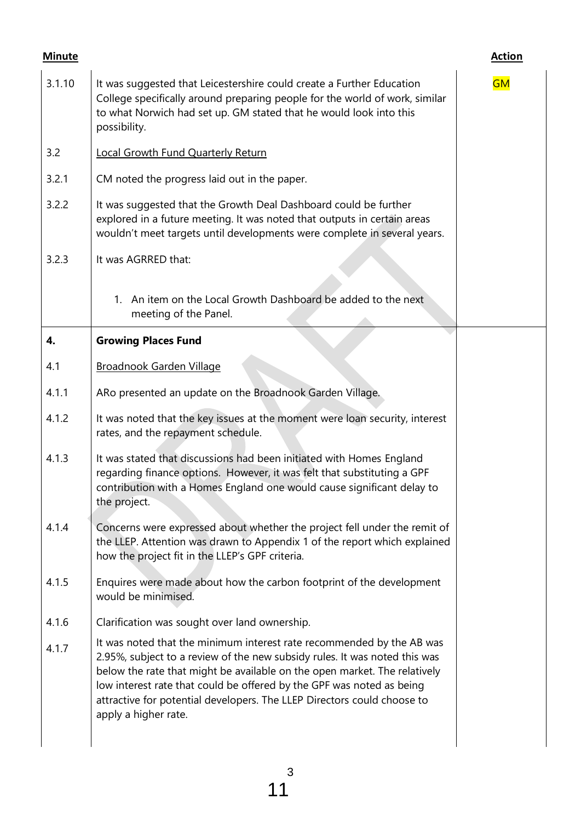| <b>Minute</b> |                                                                                                                                                                                                                                                                                                                                                                                                              | <b>Action</b> |
|---------------|--------------------------------------------------------------------------------------------------------------------------------------------------------------------------------------------------------------------------------------------------------------------------------------------------------------------------------------------------------------------------------------------------------------|---------------|
| 3.1.10        | It was suggested that Leicestershire could create a Further Education<br>College specifically around preparing people for the world of work, similar<br>to what Norwich had set up. GM stated that he would look into this<br>possibility.                                                                                                                                                                   | <b>GM</b>     |
| 3.2           | <b>Local Growth Fund Quarterly Return</b>                                                                                                                                                                                                                                                                                                                                                                    |               |
| 3.2.1         | CM noted the progress laid out in the paper.                                                                                                                                                                                                                                                                                                                                                                 |               |
| 3.2.2         | It was suggested that the Growth Deal Dashboard could be further<br>explored in a future meeting. It was noted that outputs in certain areas<br>wouldn't meet targets until developments were complete in several years.                                                                                                                                                                                     |               |
| 3.2.3         | It was AGRRED that:                                                                                                                                                                                                                                                                                                                                                                                          |               |
|               | An item on the Local Growth Dashboard be added to the next<br>1.<br>meeting of the Panel.                                                                                                                                                                                                                                                                                                                    |               |
| 4.            | <b>Growing Places Fund</b>                                                                                                                                                                                                                                                                                                                                                                                   |               |
| 4.1           | <b>Broadnook Garden Village</b>                                                                                                                                                                                                                                                                                                                                                                              |               |
| 4.1.1         | ARo presented an update on the Broadnook Garden Village.                                                                                                                                                                                                                                                                                                                                                     |               |
| 4.1.2         | It was noted that the key issues at the moment were loan security, interest<br>rates, and the repayment schedule.                                                                                                                                                                                                                                                                                            |               |
| 4.1.3         | It was stated that discussions had been initiated with Homes England<br>regarding finance options. However, it was felt that substituting a GPF<br>contribution with a Homes England one would cause significant delay to<br>the project.                                                                                                                                                                    |               |
| 4.1.4         | Concerns were expressed about whether the project fell under the remit of<br>the LLEP. Attention was drawn to Appendix 1 of the report which explained<br>how the project fit in the LLEP's GPF criteria.                                                                                                                                                                                                    |               |
| 4.1.5         | Enquires were made about how the carbon footprint of the development<br>would be minimised.                                                                                                                                                                                                                                                                                                                  |               |
| 4.1.6         | Clarification was sought over land ownership.                                                                                                                                                                                                                                                                                                                                                                |               |
| 4.1.7         | It was noted that the minimum interest rate recommended by the AB was<br>2.95%, subject to a review of the new subsidy rules. It was noted this was<br>below the rate that might be available on the open market. The relatively<br>low interest rate that could be offered by the GPF was noted as being<br>attractive for potential developers. The LLEP Directors could choose to<br>apply a higher rate. |               |
|               |                                                                                                                                                                                                                                                                                                                                                                                                              |               |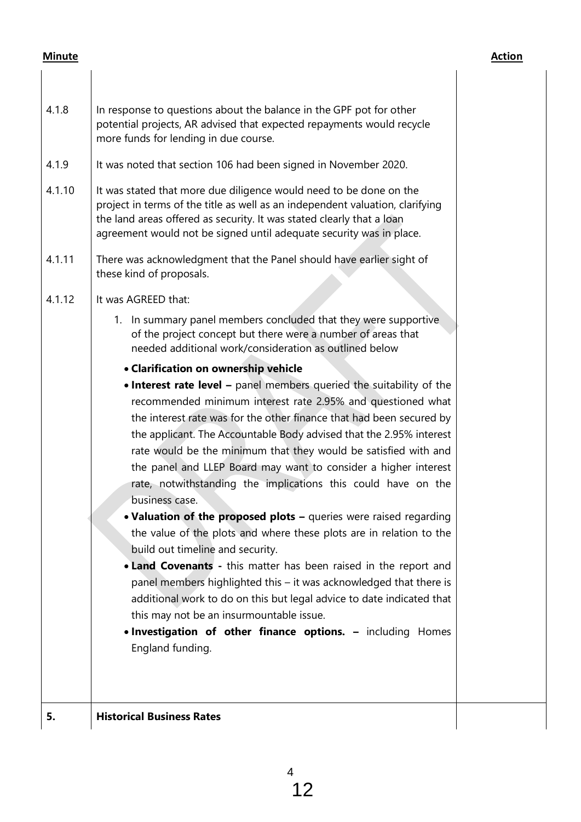| 4.1.8  | In response to questions about the balance in the GPF pot for other<br>potential projects, AR advised that expected repayments would recycle<br>more funds for lending in due course.                                                                                                                                                                                                                                                                                                                       |
|--------|-------------------------------------------------------------------------------------------------------------------------------------------------------------------------------------------------------------------------------------------------------------------------------------------------------------------------------------------------------------------------------------------------------------------------------------------------------------------------------------------------------------|
| 4.1.9  | It was noted that section 106 had been signed in November 2020.                                                                                                                                                                                                                                                                                                                                                                                                                                             |
| 4.1.10 | It was stated that more due diligence would need to be done on the<br>project in terms of the title as well as an independent valuation, clarifying<br>the land areas offered as security. It was stated clearly that a loan<br>agreement would not be signed until adequate security was in place.                                                                                                                                                                                                         |
| 4.1.11 | There was acknowledgment that the Panel should have earlier sight of<br>these kind of proposals.                                                                                                                                                                                                                                                                                                                                                                                                            |
| 4.1.12 | It was AGREED that:                                                                                                                                                                                                                                                                                                                                                                                                                                                                                         |
|        | 1. In summary panel members concluded that they were supportive<br>of the project concept but there were a number of areas that<br>needed additional work/consideration as outlined below                                                                                                                                                                                                                                                                                                                   |
|        | • Clarification on ownership vehicle                                                                                                                                                                                                                                                                                                                                                                                                                                                                        |
|        | . Interest rate level - panel members queried the suitability of the<br>recommended minimum interest rate 2.95% and questioned what<br>the interest rate was for the other finance that had been secured by<br>the applicant. The Accountable Body advised that the 2.95% interest<br>rate would be the minimum that they would be satisfied with and<br>the panel and LLEP Board may want to consider a higher interest<br>rate, notwithstanding the implications this could have on the<br>business case. |
|        | • Valuation of the proposed plots - queries were raised regarding<br>the value of the plots and where these plots are in relation to the<br>build out timeline and security.                                                                                                                                                                                                                                                                                                                                |
|        | • Land Covenants - this matter has been raised in the report and<br>panel members highlighted this – it was acknowledged that there is<br>additional work to do on this but legal advice to date indicated that<br>this may not be an insurmountable issue.<br>. Investigation of other finance options. - including Homes                                                                                                                                                                                  |
|        | England funding.                                                                                                                                                                                                                                                                                                                                                                                                                                                                                            |
| 5.     | <b>Historical Business Rates</b>                                                                                                                                                                                                                                                                                                                                                                                                                                                                            |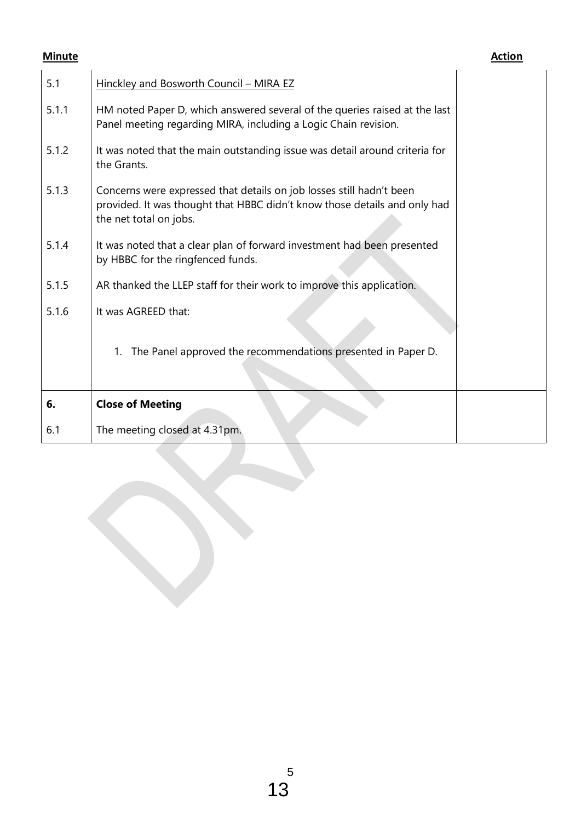| 5.1   | Hinckley and Bosworth Council - MIRA EZ                                                                                                                                     |  |
|-------|-----------------------------------------------------------------------------------------------------------------------------------------------------------------------------|--|
| 5.1.1 | HM noted Paper D, which answered several of the queries raised at the last<br>Panel meeting regarding MIRA, including a Logic Chain revision.                               |  |
| 5.1.2 | It was noted that the main outstanding issue was detail around criteria for<br>the Grants.                                                                                  |  |
| 5.1.3 | Concerns were expressed that details on job losses still hadn't been<br>provided. It was thought that HBBC didn't know those details and only had<br>the net total on jobs. |  |
| 5.1.4 | It was noted that a clear plan of forward investment had been presented<br>by HBBC for the ringfenced funds.                                                                |  |
| 5.1.5 | AR thanked the LLEP staff for their work to improve this application.                                                                                                       |  |
| 5.1.6 | It was AGREED that:                                                                                                                                                         |  |
|       | The Panel approved the recommendations presented in Paper D.<br>$1_{\cdot}$                                                                                                 |  |
| 6.    | <b>Close of Meeting</b>                                                                                                                                                     |  |
| 6.1   | The meeting closed at 4.31pm.                                                                                                                                               |  |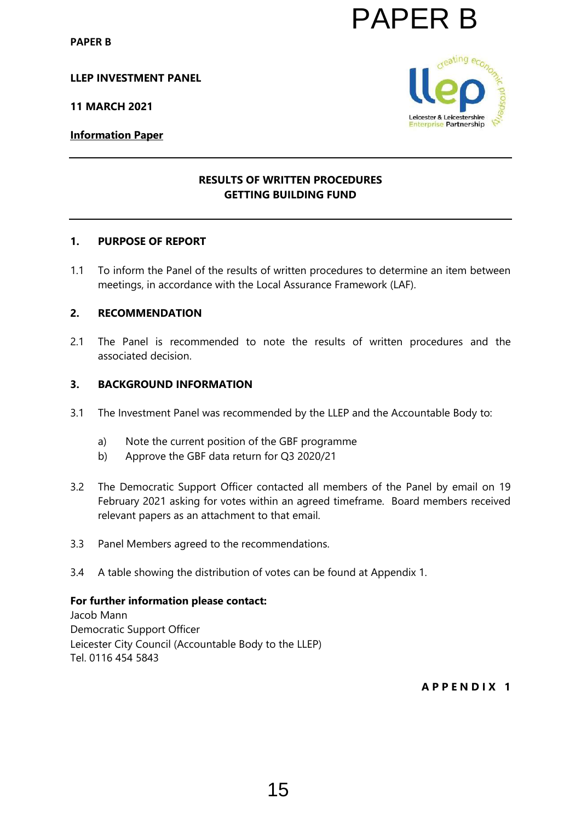#### **LLEP INVESTMENT PANEL**

**11 MARCH 2021**

## **Information Paper**

# **RESULTS OF WRITTEN PROCEDURES GETTING BUILDING FUND**

#### **1. PURPOSE OF REPORT**

1.1 To inform the Panel of the results of written procedures to determine an item between meetings, in accordance with the Local Assurance Framework (LAF).

### **2. RECOMMENDATION**

2.1 The Panel is recommended to note the results of written procedures and the associated decision.

#### **3. BACKGROUND INFORMATION**

- 3.1 The Investment Panel was recommended by the LLEP and the Accountable Body to:
	- a) Note the current position of the GBF programme
	- b) Approve the GBF data return for Q3 2020/21
- 3.2 The Democratic Support Officer contacted all members of the Panel by email on 19 February 2021 asking for votes within an agreed timeframe. Board members received relevant papers as an attachment to that email. **PAPER B**<br> **EXERCISE THE PROCEDURES**<br> **EXERCISE BUILDING FUND**<br> **EXERCISE BUILDING FUND**<br> **EXERCISE BUILDING FUND**<br> **EXERCISE BUILDING FUND**<br>
ACCEL ASSUFANCE FAINT DOCUTE AND NOTE AND NOTE AND NOTE AND NOTE AND A MORE OF P
- 3.3 Panel Members agreed to the recommendations.
- 3.4 A table showing the distribution of votes can be found at Appendix 1.

#### **For further information please contact:**

Jacob Mann Democratic Support Officer Leicester City Council (Accountable Body to the LLEP) Tel. 0116 454 5843

**A P P E N D I X 1**

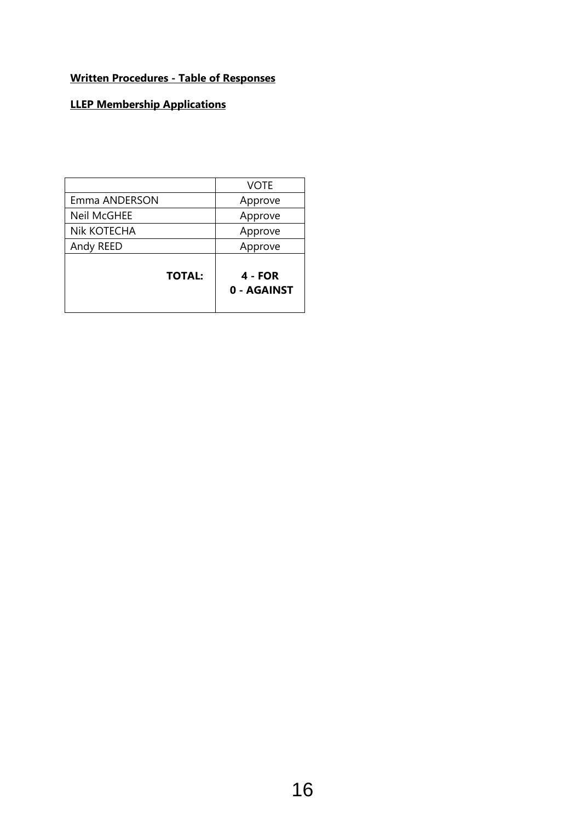# **Written Procedures - Table of Responses**

# **LLEP Membership Applications**

| <b>TOTAL:</b>      | 4 - FOR<br>0 - AGAINST |
|--------------------|------------------------|
| Andy REED          | Approve                |
| Nik KOTECHA        | Approve                |
| <b>Neil McGHEE</b> | Approve                |
| Emma ANDERSON      | Approve                |
|                    | <b>VOTE</b>            |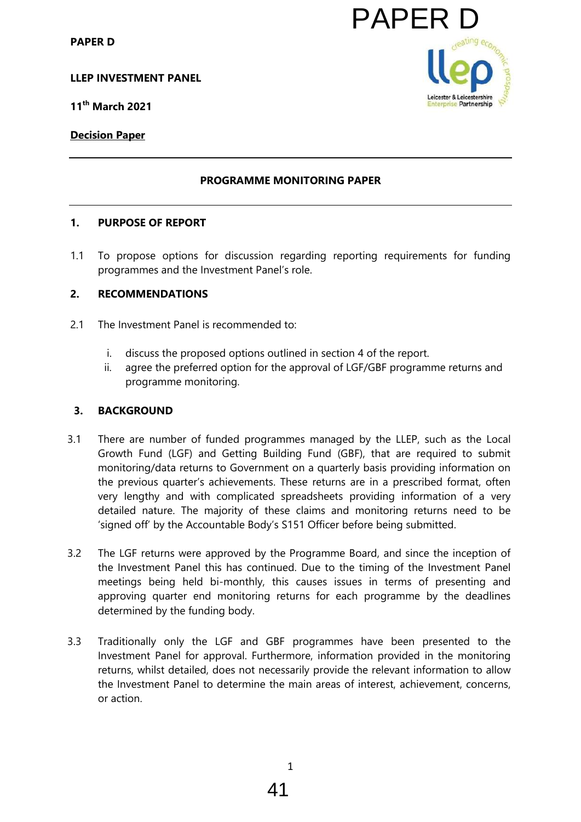**LLEP INVESTMENT PANEL**

**11th March 2021**

# **Decision Paper**

# **PROGRAMME MONITORING PAPER**

# **1. PURPOSE OF REPORT**

1.1 To propose options for discussion regarding reporting requirements for funding programmes and the Investment Panel's role.

### **2. RECOMMENDATIONS**

- 2.1 The Investment Panel is recommended to:
	- i. discuss the proposed options outlined in section 4 of the report.
	- ii. agree the preferred option for the approval of LGF/GBF programme returns and programme monitoring.

## **3. BACKGROUND**

- 3.1 There are number of funded programmes managed by the LLEP, such as the Local Growth Fund (LGF) and Getting Building Fund (GBF), that are required to submit monitoring/data returns to Government on a quarterly basis providing information on the previous quarter's achievements. These returns are in a prescribed format, often very lengthy and with complicated spreadsheets providing information of a very detailed nature. The majority of these claims and monitoring returns need to be 'signed off' by the Accountable Body's S151 Officer before being submitted. EXECT:<br>
MONITORING PAPER<br>
HERO LEGATION INCREDIBLE THE MONITORING PAPER<br>
A LEGATION INCREDIBLE THE MONITORING PAPER<br>
Hero is role.<br>
Hero is role.<br>
Hero is role.<br>
Hero is role and the separation of the report.<br>
The approval
- 3.2 The LGF returns were approved by the Programme Board, and since the inception of the Investment Panel this has continued. Due to the timing of the Investment Panel meetings being held bi-monthly, this causes issues in terms of presenting and approving quarter end monitoring returns for each programme by the deadlines determined by the funding body.
- 3.3 Traditionally only the LGF and GBF programmes have been presented to the Investment Panel for approval. Furthermore, information provided in the monitoring returns, whilst detailed, does not necessarily provide the relevant information to allow the Investment Panel to determine the main areas of interest, achievement, concerns, or action.